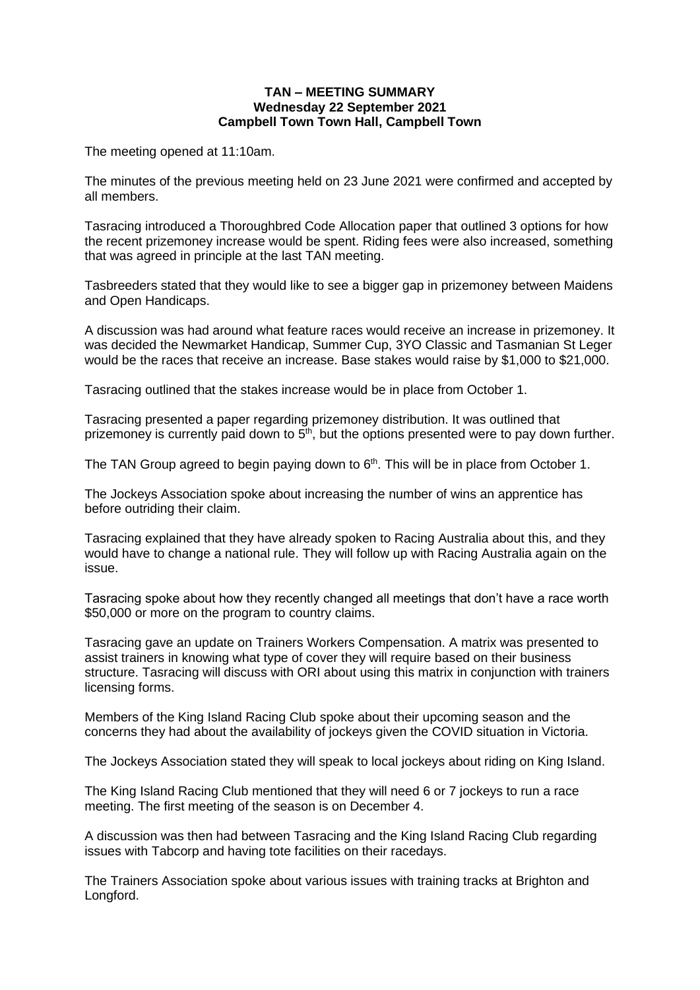## **TAN – MEETING SUMMARY Wednesday 22 September 2021 Campbell Town Town Hall, Campbell Town**

The meeting opened at 11:10am.

The minutes of the previous meeting held on 23 June 2021 were confirmed and accepted by all members.

Tasracing introduced a Thoroughbred Code Allocation paper that outlined 3 options for how the recent prizemoney increase would be spent. Riding fees were also increased, something that was agreed in principle at the last TAN meeting.

Tasbreeders stated that they would like to see a bigger gap in prizemoney between Maidens and Open Handicaps.

A discussion was had around what feature races would receive an increase in prizemoney. It was decided the Newmarket Handicap, Summer Cup, 3YO Classic and Tasmanian St Leger would be the races that receive an increase. Base stakes would raise by \$1,000 to \$21,000.

Tasracing outlined that the stakes increase would be in place from October 1.

Tasracing presented a paper regarding prizemoney distribution. It was outlined that prizemoney is currently paid down to  $5<sup>th</sup>$ , but the options presented were to pay down further.

The TAN Group agreed to begin paying down to  $6<sup>th</sup>$ . This will be in place from October 1.

The Jockeys Association spoke about increasing the number of wins an apprentice has before outriding their claim.

Tasracing explained that they have already spoken to Racing Australia about this, and they would have to change a national rule. They will follow up with Racing Australia again on the issue.

Tasracing spoke about how they recently changed all meetings that don't have a race worth \$50,000 or more on the program to country claims.

Tasracing gave an update on Trainers Workers Compensation. A matrix was presented to assist trainers in knowing what type of cover they will require based on their business structure. Tasracing will discuss with ORI about using this matrix in conjunction with trainers licensing forms.

Members of the King Island Racing Club spoke about their upcoming season and the concerns they had about the availability of jockeys given the COVID situation in Victoria.

The Jockeys Association stated they will speak to local jockeys about riding on King Island.

The King Island Racing Club mentioned that they will need 6 or 7 jockeys to run a race meeting. The first meeting of the season is on December 4.

A discussion was then had between Tasracing and the King Island Racing Club regarding issues with Tabcorp and having tote facilities on their racedays.

The Trainers Association spoke about various issues with training tracks at Brighton and Longford.